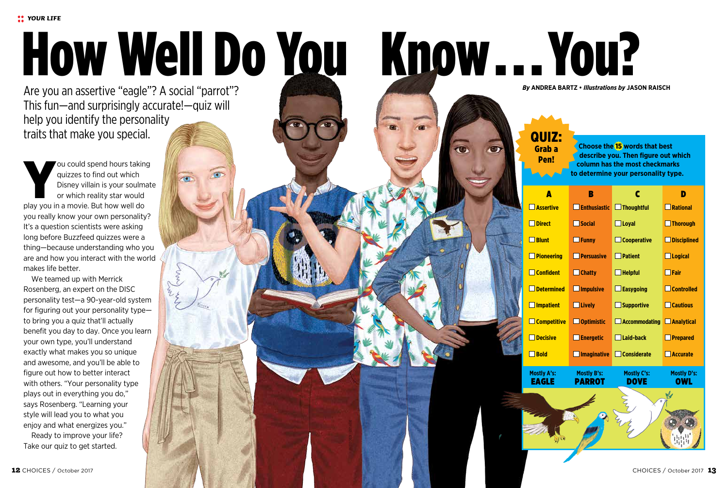# How Well Do You Know...You?

Are you an assertive "eagle"? A social "parrot"? This fun—and surprisingly accurate!—quiz will help you identify the personality traits that make you special.

You could spend hours taking<br>
quizzes to find out which<br>
Disney villain is your soulmat<br>
or which reality star would<br>
play you in a movie. But how well do quizzes to find out which Disney villain is your soulmate or which reality star would you really know your own personality? It's a question scientists were asking long before Buzzfeed quizzes were a thing—because understanding who you are and how you interact with the world makes life better.

We teamed up with Merrick Rosenberg, an expert on the DISC personality test—a 90-year-old system for figuring out your personality type to bring you a quiz that'll actually benefit you day to day. Once you learn your own type, you'll understand exactly what makes you so unique and awesome, and you'll be able to figure out how to better interact with others. "Your personality type plays out in everything you do," says Rosenberg. "Learning your style will lead you to what you enjoy and what energizes you." Ready to improve your life? Take our quiz to get started.

# QUIZ: Grab a

Pen!

**Choose the** 15 **words that best describe you. Then figure out which column has the most checkmarks to determine your personality type.**

|  | Δ                  | В                   | C                  | ٠                  |
|--|--------------------|---------------------|--------------------|--------------------|
|  | Assertive          | <b>Enthusiastic</b> | $\Box$ Thoughtful  | <b>Rational</b>    |
|  | <b>Direct</b>      | <b>Social</b>       | $\Box$ Loyal       | <b>Thorough</b>    |
|  | $\Box$ Blunt       | $\Box$ Funny        | $\Box$ Cooperative | <b>Disciplined</b> |
|  | $\Box$ Pioneering  | <b>Persuasive</b>   | $\Box$ Patient     | $\Box$ Logical     |
|  | <b>Confident</b>   | $\Box$ Chatty       | $\Box$ Helpful     | $\Box$ Fair        |
|  | <b>Determined</b>  | <b>Impulsive</b>    | $\Box$ Easygoing   | <b>Controlled</b>  |
|  | <b>Impatient</b>   | <b>Lively</b>       | Supportive         | <b>Cautious</b>    |
|  | $\Box$ Competitive | Optimistic          | Accommodating      | $\Box$ Analytical  |
|  | <b>Decisive</b>    | $\Box$ Energetic    | $\Box$ Laid-back   | $\Box$ Prepared    |
|  | $\Box$ Bold        | <b>Imaginative</b>  | $\Box$ Considerate | <b>Accurate</b>    |
|  | <b>Mostly A's:</b> | <b>Mostly B's:</b>  | Mostly C's:        | Mostly D's:        |

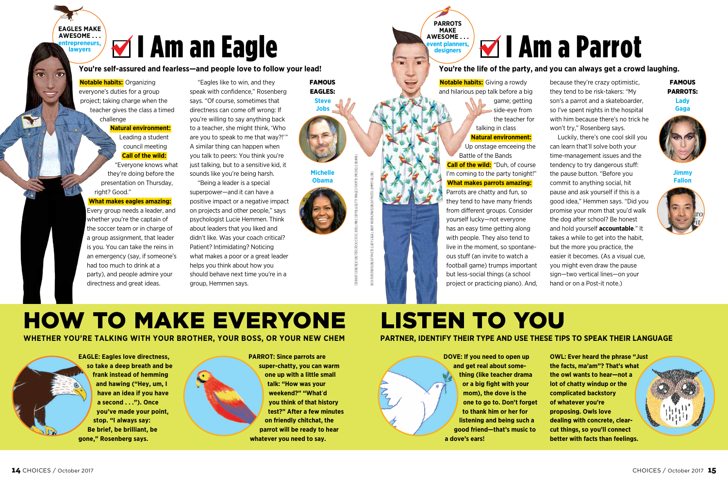# **M** I Am an Eagle

**You're self-assured and fearless—and people love to follow your lead!**

**Notable habits:** Organizing everyone's duties for a group project; taking charge when the teacher gives the class a timed challenge

**EAGLES MAKE AWESOME . . . entrepreneurs, lawyers**

# **Natural environment:** Leading a student

council meeting **Call of the wild:** "Everyone knows what they're doing before the presentation on Thursday, right? Good."

## **What makes eagles amazing:**

Every group needs a leader, and whether you're the captain of the soccer team or in charge of a group assignment, that leader is you. You can take the reins in an emergency (say, if someone's had too much to drink at a party), and people admire your directness and great ideas.

"Eagles like to win, and they speak with confidence," Rosenberg says. "Of course, sometimes that directness can come off wrong: If you're willing to say anything back to a teacher, she might think, 'Who are you to speak to me that way?!' " A similar thing can happen when you talk to peers: You think you're just talking, but to a sensitive kid, it sounds like you're being harsh.

"Being a leader is a special superpower—and it can have a positive impact or a negative impact on projects and other people," says psychologist Lucie Hemmen. Think about leaders that you liked and didn't like. Was your coach critical? Patient? Intimidating? Noticing what makes a poor or a great leader helps you think about how you should behave next time you're in a group, Hemmen says.

**Steve** FAMOUS EAGLES:



**Obama**

# STEWART COOK/REX/SHUTTERSTOCK (STEVE JOBS); MIKE COPPOLA/GETTY IMAGES FOR MTV (MICHELLE OBAMA) RICH FURY/INVISION/AP PHOTO (LADY GAGA); ANDY KROPA/INVISION/AP PHOTO (JIMMY FALLON)

## **<u><b>**</u><del></u>⊿</del> I Am a Parrot **AWESOME . . . rent planners, designers**

**You're the life of the party, and you can always get a crowd laughing.**

**Notable habits:** Giving a rowdy and hilarious pep talk before a big game; getting side-eye from the teacher for talking in class **Natural environment:** Up onstage emceeing the Battle of the Bands **Call of the wild:** "Duh, of course I'm coming to the party tonight!"

**PARROTS MAKE**

 $\overline{\phantom{a}}$ 

**What makes parrots amazing:** Parrots are chatty and fun, so they tend to have many friends from different groups. Consider yourself lucky—not everyone has an easy time getting along with people. They also tend to live in the moment, so spontaneous stuff (an invite to watch a football game) trumps important but less-social things (a school project or practicing piano). And,

because they're crazy optimistic, they tend to be risk-takers: "My son's a parrot and a skateboarder, so I've spent nights in the hospital with him because there's no trick he won't try," Rosenberg says.

Luckily, there's one cool skill you can learn that'll solve both your time-management issues and the tendency to try dangerous stuff: the pause button. "Before you commit to anything social, hit pause and ask yourself if this is a good idea," Hemmen says. "Did you promise your mom that you'd walk the dog after school? Be honest and hold yourself **accountable**." It takes a while to get into the habit, but the more you practice, the easier it becomes. (As a visual cue, you might even draw the pause sign—two vertical lines—on your hand or on a Post-it note.)

**Lady** FAMOUS PARROTS:



**Jimmy Fallon**



# HOW TO MAKE EVERYONE LISTEN TO YOU

## **WHETHER YOU'RE TALKING WITH YOUR BROTHER, YOUR BOSS, OR YOUR NEW CHEM PARTNER, IDENTIFY THEIR TYPE AND USE THESE TIPS TO SPEAK THEIR LANGUAGE**

**EAGLE: Eagles love directness, so take a deep breath and be frank instead of hemming and hawing ("Hey, um, I have an idea if you have a second . . ."). Once you've made your point, stop. "I always say: Be brief, be brilliant, be gone," Rosenberg says.**



**PARROT: Since parrots are super-chatty, you can warm one up with a little small talk: "How was your weekend?" "What**'**d you think of that history test?" After a few minutes on friendly chitchat, the parrot will be ready to hear whatever you need to say.**

**DOVE: If you need to open up and get real about something (like teacher drama or a big fight with your mom), the dove is the one to go to. Don't forget to thank him or her for listening and being such a good friend—that's music to a dove's ears!**

**OWL: Ever heard the phrase "Just the facts, ma'am"? That's what the owl wants to hear—not a lot of chatty windup or the complicated backstory of whatever you're proposing. Owls love dealing with concrete, clearcut things, so you'll connect better with facts than feelings.**